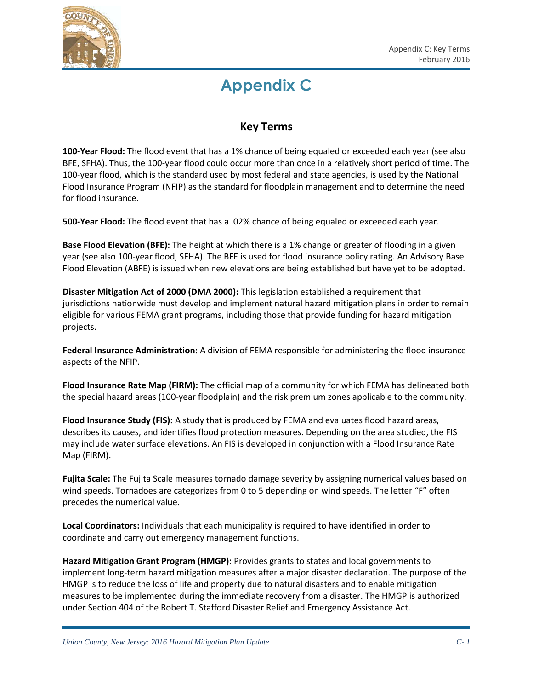

## **Appendix C**

## **Key Terms**

**100-Year Flood:** The flood event that has a 1% chance of being equaled or exceeded each year (see also BFE, SFHA). Thus, the 100-year flood could occur more than once in a relatively short period of time. The 100-year flood, which is the standard used by most federal and state agencies, is used by the National Flood Insurance Program (NFIP) as the standard for floodplain management and to determine the need for flood insurance.

**500-Year Flood:** The flood event that has a .02% chance of being equaled or exceeded each year.

**Base Flood Elevation (BFE):** The height at which there is a 1% change or greater of flooding in a given year (see also 100-year flood, SFHA). The BFE is used for flood insurance policy rating. An Advisory Base Flood Elevation (ABFE) is issued when new elevations are being established but have yet to be adopted.

**Disaster Mitigation Act of 2000 (DMA 2000):** This legislation established a requirement that jurisdictions nationwide must develop and implement natural hazard mitigation plans in order to remain eligible for various FEMA grant programs, including those that provide funding for hazard mitigation projects.

**Federal Insurance Administration:** A division of FEMA responsible for administering the flood insurance aspects of the NFIP.

**Flood Insurance Rate Map (FIRM):** The official map of a community for which FEMA has delineated both the special hazard areas (100-year floodplain) and the risk premium zones applicable to the community.

**Flood Insurance Study (FIS):** A study that is produced by FEMA and evaluates flood hazard areas, describes its causes, and identifies flood protection measures. Depending on the area studied, the FIS may include water surface elevations. An FIS is developed in conjunction with a Flood Insurance Rate Map (FIRM).

**Fujita Scale:** The Fujita Scale measures tornado damage severity by assigning numerical values based on wind speeds. Tornadoes are categorizes from 0 to 5 depending on wind speeds. The letter "F" often precedes the numerical value.

**Local Coordinators:** Individuals that each municipality is required to have identified in order to coordinate and carry out emergency management functions.

**Hazard Mitigation Grant Program (HMGP):** Provides grants to states and local governments to implement long-term hazard mitigation measures after a major disaster declaration. The purpose of the HMGP is to reduce the loss of life and property due to natural disasters and to enable mitigation measures to be implemented during the immediate recovery from a disaster. The HMGP is authorized under Section 404 of the Robert T. Stafford Disaster Relief and Emergency Assistance Act.